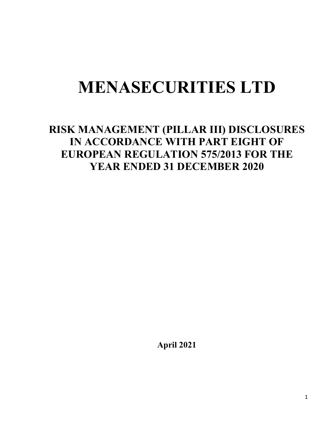# **MENASECURITIES LTD**

# **RISK MANAGEMENT (PILLAR III) DISCLOSURES IN ACCORDANCE WITH PART EIGHT OF EUROPEAN REGULATION 575/2013 FOR THE YEAR ENDED 31 DECEMBER 2020**

**April 2021**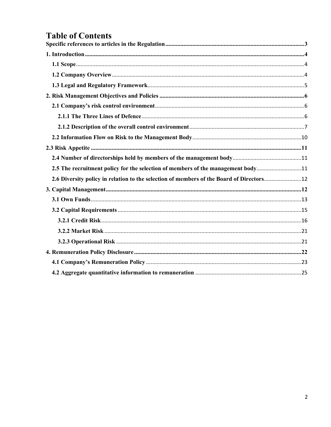# **Table of Contents**

| 2.5 The recruitment policy for the selection of members of the management body11         |  |
|------------------------------------------------------------------------------------------|--|
| 2.6 Diversity policy in relation to the selection of members of the Board of Directors12 |  |
|                                                                                          |  |
|                                                                                          |  |
|                                                                                          |  |
|                                                                                          |  |
|                                                                                          |  |
|                                                                                          |  |
|                                                                                          |  |
|                                                                                          |  |
|                                                                                          |  |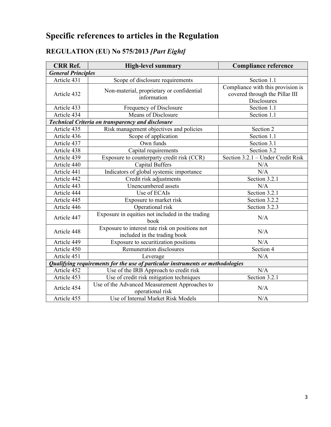# <span id="page-2-0"></span>**Specific references to articles in the Regulation**

# **REGULATION (EU) No 575/2013** *[Part Eight]*

| <b>CRR Ref.</b>           | <b>High-level summary</b>                                                       | <b>Compliance reference</b>                                                        |
|---------------------------|---------------------------------------------------------------------------------|------------------------------------------------------------------------------------|
| <b>General Principles</b> |                                                                                 |                                                                                    |
| Article 431               | Scope of disclosure requirements                                                | Section 1.1                                                                        |
| Article 432               | Non-material, proprietary or confidential<br>information                        | Compliance with this provision is<br>covered through the Pillar III<br>Disclosures |
| Article 433               | Frequency of Disclosure                                                         | Section 1.1                                                                        |
| Article 434               | Means of Disclosure                                                             | Section 1.1                                                                        |
|                           | <b>Technical Criteria on transparency and disclosure</b>                        |                                                                                    |
| Article 435               | Risk management objectives and policies                                         | Section 2                                                                          |
| Article 436               | Scope of application                                                            | Section 1.1                                                                        |
| Article 437               | Own funds                                                                       | Section 3.1                                                                        |
| Article 438               | Capital requirements                                                            | Section 3.2                                                                        |
| Article 439               | Exposure to counterparty credit risk (CCR)                                      | Section 3.2.1 - Under Credit Risk                                                  |
| Article 440               | <b>Capital Buffers</b>                                                          | N/A                                                                                |
| Article 441               | Indicators of global systemic importance                                        | N/A                                                                                |
| Article 442               | Credit risk adjustments                                                         | Section 3.2.1                                                                      |
| Article 443               | Unencumbered assets                                                             | N/A                                                                                |
| Article 444               | Use of ECAIs                                                                    | Section 3.2.1                                                                      |
| Article 445               | Exposure to market risk                                                         | Section 3.2.2                                                                      |
| Article 446               | Operational risk                                                                | Section 3.2.3                                                                      |
| Article 447               | Exposure in equities not included in the trading<br>book                        | N/A                                                                                |
| Article 448               | Exposure to interest rate risk on positions not<br>included in the trading book | N/A                                                                                |
| Article 449               | Exposure to securitization positions                                            | N/A                                                                                |
| Article 450               | Remuneration disclosures                                                        | Section 4                                                                          |
| Article 451               | Leverage                                                                        | N/A                                                                                |
|                           | Qualifying requirements for the use of particular instruments or methodologies  |                                                                                    |
| Article 452               | Use of the IRB Approach to credit risk                                          | N/A                                                                                |
| Article 453               | Use of credit risk mitigation techniques                                        | Section 3.2.1                                                                      |
| Article 454               | Use of the Advanced Measurement Approaches to<br>operational risk               | N/A                                                                                |
| Article 455               | Use of Internal Market Risk Models                                              | N/A                                                                                |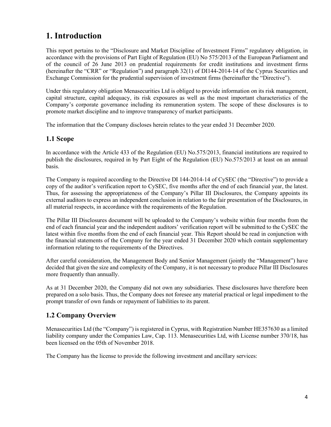# <span id="page-3-0"></span>**1. Introduction**

This report pertains to the "Disclosure and Market Discipline of Investment Firms" regulatory obligation, in accordance with the provisions of Part Eight of Regulation (EU) No 575/2013 of the European Parliament and of the council of 26 June 2013 on prudential requirements for credit institutions and investment firms (hereinafter the "CRR" or "Regulation") and paragraph 32(1) of DI144-2014-14 of the Cyprus Securities and Exchange Commission for the prudential supervision of investment firms (hereinafter the "Directive").

Under this regulatory obligation Menasecurities Ltd is obliged to provide information on its risk management, capital structure, capital adequacy, its risk exposures as well as the most important characteristics of the Company's corporate governance including its remuneration system. The scope of these disclosures is to promote market discipline and to improve transparency of market participants.

The information that the Company discloses herein relates to the year ended 31 December 2020.

### <span id="page-3-1"></span>**1.1 Scope**

In accordance with the Article 433 of the Regulation (EU) No.575/2013, financial institutions are required to publish the disclosures, required in by Part Eight of the Regulation (EU) No.575/2013 at least on an annual basis.

The Company is required according to the Directive DI 144-2014-14 of CySEC (the "Directive") to provide a copy of the auditor's verification report to CySEC, five months after the end of each financial year, the latest. Thus, for assessing the appropriateness of the Company's Pillar III Disclosures, the Company appoints its external auditors to express an independent conclusion in relation to the fair presentation of the Disclosures, in all material respects, in accordance with the requirements of the Regulation.

The Pillar III Disclosures document will be uploaded to the Company's website within four months from the end of each financial year and the independent auditors' verification report will be submitted to the CySEC the latest within five months from the end of each financial year. This Report should be read in conjunction with the financial statements of the Company for the year ended 31 December 2020 which contain supplementary information relating to the requirements of the Directives.

After careful consideration, the Management Body and Senior Management (jointly the "Management") have decided that given the size and complexity of the Company, it is not necessary to produce Pillar III Disclosures more frequently than annually.

As at 31 December 2020, the Company did not own any subsidiaries. These disclosures have therefore been prepared on a solo basis. Thus, the Company does not foresee any material practical or legal impediment to the prompt transfer of own funds or repayment of liabilities to its parent.

# <span id="page-3-2"></span>**1.2 Company Overview**

Menasecurities Ltd (the "Company") is registered in Cyprus, with Registration Number HE357630 as a limited liability company under the Companies Law, Cap. 113. Menasecurities Ltd, with License number 370/18, has been licensed on the 05th of November 2018.

The Company has the license to provide the following investment and ancillary services: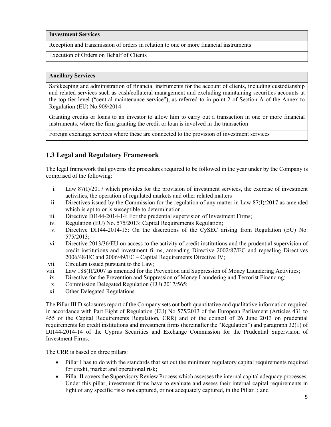### **Investment Services**

Reception and transmission of orders in relation to one or more financial instruments

Execution of Orders on Behalf of Clients

#### **Ancillary Services**

Safekeeping and administration of financial instruments for the account of clients, including custodianship and related services such as cash/collateral management and excluding maintaining securities accounts at the top tier level ("central maintenance service"), as referred to in point 2 of Section A of the Annex to Regulation (EU) No 909/2014

Granting credits or loans to an investor to allow him to carry out a transaction in one or more financial instruments, where the firm granting the credit or loan is involved in the transaction

Foreign exchange services where these are connected to the provision of investment services

# <span id="page-4-0"></span>**1.3 Legal and Regulatory Framework**

The legal framework that governs the procedures required to be followed in the year under by the Company is comprised of the following:

- i. Law 87(I)/2017 which provides for the provision of investment services, the exercise of investment activities, the operation of regulated markets and other related matters
- ii. Directives issued by the Commission for the regulation of any matter in Law  $87(I)/2017$  as amended which is apt to or is susceptible to determination.
- iii. Directive DI144-2014-14: For the prudential supervision of Investment Firms;
- iv. Regulation (EU) No. 575/2013: Capital Requirements Regulation;
- v. Directive DI144-2014-15: On the discretions of the CySEC arising from Regulation (EU) No. 575/2013;
- vi. Directive 2013/36/EU on access to the activity of credit institutions and the prudential supervision of credit institutions and investment firms, amending Directive 2002/87/EC and repealing Directives 2006/48/EC and 2006/49/EC – Capital Requirements Directive IV;
- vii. Circulars issued pursuant to the Law;
- viii. Law 188(I)/2007 as amended for the Prevention and Suppression of Money Laundering Activities;
- ix. Directive for the Prevention and Suppression of Money Laundering and Terrorist Financing;
- x. Commission Delegated Regulation (EU) 2017/565;
- xi. Other Delegated Regulations

The Pillar III Disclosures report of the Company sets out both quantitative and qualitative information required in accordance with Part Eight of Regulation (EU) No 575/2013 of the European Parliament (Articles 431 to 455 of the Capital Requirements Regulation, CRR) and of the council of 26 June 2013 on prudential requirements for credit institutions and investment firms (hereinafter the "Regulation") and paragraph 32(1) of DI144-2014-14 of the Cyprus Securities and Exchange Commission for the Prudential Supervision of Investment Firms.

The CRR is based on three pillars:

- Pillar I has to do with the standards that set out the minimum regulatory capital requirements required for credit, market and operational risk;
- Pillar II covers the Supervisory Review Process which assesses the internal capital adequacy processes. Under this pillar, investment firms have to evaluate and assess their internal capital requirements in light of any specific risks not captured, or not adequately captured, in the Pillar I; and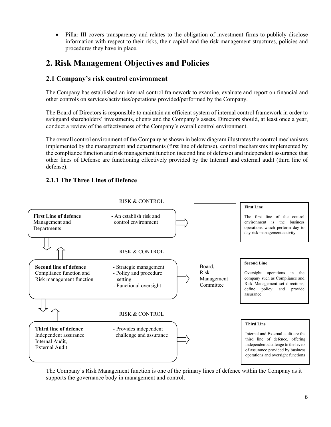• Pillar III covers transparency and relates to the obligation of investment firms to publicly disclose information with respect to their risks, their capital and the risk management structures, policies and procedures they have in place.

# <span id="page-5-0"></span>**2. Risk Management Objectives and Policies**

# <span id="page-5-1"></span>**2.1 Company's risk control environment**

The Company has established an internal control framework to examine, evaluate and report on financial and other controls on services/activities/operations provided/performed by the Company.

The Board of Directors is responsible to maintain an efficient system of internal control framework in order to safeguard shareholders' investments, clients and the Company's assets. Directors should, at least once a year, conduct a review of the effectiveness of the Company's overall control environment.

The overall control environment of the Company as shown in below diagram illustrates the control mechanisms implemented by the management and departments (first line of defense), control mechanisms implemented by the compliance function and risk management function (second line of defense) and independent assurance that other lines of Defense are functioning effectively provided by the Internal and external audit (third line of defense).

# <span id="page-5-2"></span>**2.1.1 The Three Lines of Defence**



RISK & CONTROL

The Company's Risk Management function is one of the primary lines of defence within the Company as it supports the governance body in management and control.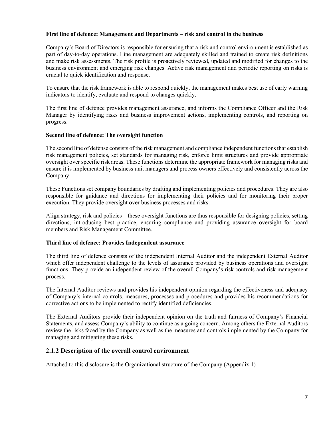### **First line of defence: Management and Departments – risk and control in the business**

Company's Board of Directors is responsible for ensuring that a risk and control environment is established as part of day-to-day operations. Line management are adequately skilled and trained to create risk definitions and make risk assessments. The risk profile is proactively reviewed, updated and modified for changes to the business environment and emerging risk changes. Active risk management and periodic reporting on risks is crucial to quick identification and response.

To ensure that the risk framework is able to respond quickly, the management makes best use of early warning indicators to identify, evaluate and respond to changes quickly.

The first line of defence provides management assurance, and informs the Compliance Officer and the Risk Manager by identifying risks and business improvement actions, implementing controls, and reporting on progress.

### **Second line of defence: The oversight function**

The second line of defense consists of the risk management and compliance independent functions that establish risk management policies, set standards for managing risk, enforce limit structures and provide appropriate oversight over specific risk areas. These functions determine the appropriate framework for managing risks and ensure it is implemented by business unit managers and process owners effectively and consistently across the Company.

These Functions set company boundaries by drafting and implementing policies and procedures. They are also responsible for guidance and directions for implementing their policies and for monitoring their proper execution. They provide oversight over business processes and risks.

Align strategy, risk and policies – these oversight functions are thus responsible for designing policies, setting directions, introducing best practice, ensuring compliance and providing assurance oversight for board members and Risk Management Committee.

#### **Third line of defence: Provides Independent assurance**

The third line of defence consists of the independent Internal Auditor and the independent External Auditor which offer independent challenge to the levels of assurance provided by business operations and oversight functions. They provide an independent review of the overall Company's risk controls and risk management process.

The Internal Auditor reviews and provides his independent opinion regarding the effectiveness and adequacy of Company's internal controls, measures, processes and procedures and provides his recommendations for corrective actions to be implemented to rectify identified deficiencies.

The External Auditors provide their independent opinion on the truth and fairness of Company's Financial Statements, and assess Company's ability to continue as a going concern. Among others the External Auditors review the risks faced by the Company as well as the measures and controls implemented by the Company for managing and mitigating these risks.

### <span id="page-6-0"></span>**2.1.2 Description of the overall control environment**

Attached to this disclosure is the Organizational structure of the Company (Appendix 1)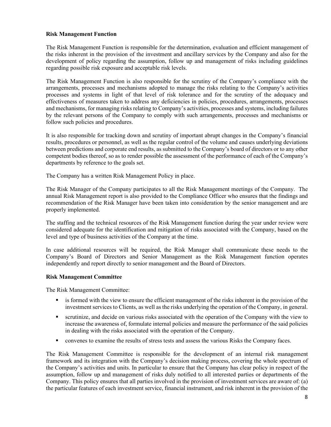### **Risk Management Function**

The Risk Management Function is responsible for the determination, evaluation and efficient management of the risks inherent in the provision of the investment and ancillary services by the Company and also for the development of policy regarding the assumption, follow up and management of risks including guidelines regarding possible risk exposure and acceptable risk levels.

The Risk Management Function is also responsible for the scrutiny of the Company's compliance with the arrangements, processes and mechanisms adopted to manage the risks relating to the Company's activities processes and systems in light of that level of risk tolerance and for the scrutiny of the adequacy and effectiveness of measures taken to address any deficiencies in policies, procedures, arrangements, processes and mechanisms, for managing risks relating to Company's activities, processes and systems, including failures by the relevant persons of the Company to comply with such arrangements, processes and mechanisms or follow such policies and procedures.

It is also responsible for tracking down and scrutiny of important abrupt changes in the Company's financial results, procedures or personnel, as well as the regular control of the volume and causes underlying deviations between predictions and corporate end results, as submitted to the Company's board of directors or to any other competent bodies thereof, so as to render possible the assessment of the performance of each of the Company's departments by reference to the goals set.

The Company has a written Risk Management Policy in place.

The Risk Manager of the Company participates to all the Risk Management meetings of the Company. The annual Risk Management report is also provided to the Compliance Officer who ensures that the findings and recommendation of the Risk Manager have been taken into consideration by the senior management and are properly implemented.

The staffing and the technical resources of the Risk Management function during the year under review were considered adequate for the identification and mitigation of risks associated with the Company, based on the level and type of business activities of the Company at the time.

In case additional resources will be required, the Risk Manager shall communicate these needs to the Company's Board of Directors and Senior Management as the Risk Management function operates independently and report directly to senior management and the Board of Directors.

### **Risk Management Committee**

The Risk Management Committee:

- is formed with the view to ensure the efficient management of the risks inherent in the provision of the investment services to Clients, as well as the risks underlying the operation of the Company, in general.
- scrutinize, and decide on various risks associated with the operation of the Company with the view to increase the awareness of, formulate internal policies and measure the performance of the said policies in dealing with the risks associated with the operation of the Company.
- **•** convenes to examine the results of stress tests and assess the various Risks the Company faces.

The Risk Management Committee is responsible for the development of an internal risk management framework and its integration with the Company's decision making process, covering the whole spectrum of the Company's activities and units. In particular to ensure that the Company has clear policy in respect of the assumption, follow up and management of risks duly notified to all interested parties or departments of the Company. This policy ensures that all parties involved in the provision of investment services are aware of: (a) the particular features of each investment service, financial instrument, and risk inherent in the provision of the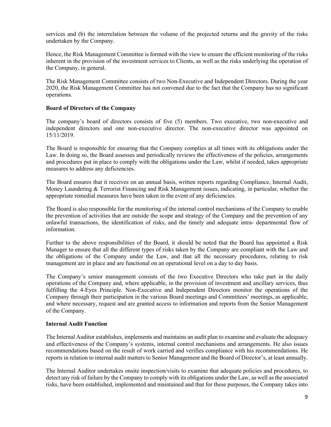services and (b) the interrelation between the volume of the projected returns and the gravity of the risks undertaken by the Company.

Hence, the Risk Management Committee is formed with the view to ensure the efficient monitoring of the risks inherent in the provision of the investment services to Clients, as well as the risks underlying the operation of the Company, in general.

The Risk Management Committee consists of two Non-Executive and Independent Directors. During the year 2020, the Risk Management Committee has not convened due to the fact that the Company has no significant operations.

### **Board of Directors of the Company**

The company's board of directors consists of five (5) members. Two executive, two non-executive and independent directors and one non-executive director. The non-executive director was appointed on 15/11/2019.

The Board is responsible for ensuring that the Company complies at all times with its obligations under the Law. In doing so, the Board assesses and periodically reviews the effectiveness of the policies, arrangements and procedures put in place to comply with the obligations under the Law, whilst if needed, takes appropriate measures to address any deficiencies.

The Board ensures that it receives on an annual basis, written reports regarding Compliance, Internal Audit, Money Laundering & Terrorist Financing and Risk Management issues, indicating, in particular, whether the appropriate remedial measures have been taken in the event of any deficiencies.

The Board is also responsible for the monitoring of the internal control mechanisms of the Company to enable the prevention of activities that are outside the scope and strategy of the Company and the prevention of any unlawful transactions, the identification of risks, and the timely and adequate intra- departmental flow of information.

Further to the above responsibilities of the Board, it should be noted that the Board has appointed a Risk Manager to ensure that all the different types of risks taken by the Company are compliant with the Law and the obligations of the Company under the Law, and that all the necessary procedures, relating to risk management are in place and are functional on an operational level on a day to day basis.

The Company's senior management consists of the two Executive Directors who take part in the daily operations of the Company and, where applicable, in the provision of investment and ancillary services, thus fulfilling the 4-Eyes Principle. Non-Executive and Independent Directors monitor the operations of the Company through their participation in the various Board meetings and Committees' meetings, as applicable, and where necessary, request and are granted access to information and reports from the Senior Management of the Company.

#### **Internal Audit Function**

The Internal Auditor establishes, implements and maintains an audit plan to examine and evaluate the adequacy and effectiveness of the Company's systems, internal control mechanisms and arrangements. He also issues recommendations based on the result of work carried and verifies compliance with his recommendations. He reports in relation to internal audit matters to Senior Management and the Board of Director's, at least annually.

The Internal Auditor undertakes onsite inspection/visits to examine that adequate policies and procedures, to detect any risk of failure by the Company to comply with its obligations under the Law, as well as the associated risks, have been established, implemented and maintained and that for these purposes, the Company takes into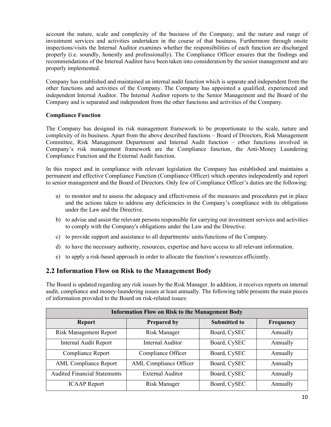account the nature, scale and complexity of the business of the Company, and the nature and range of investment services and activities undertaken in the course of that business. Furthermore through onsite inspections/visits the Internal Auditor examines whether the responsibilities of each function are discharged properly (i.e. soundly, honestly and professionally). The Compliance Officer ensures that the findings and recommendations of the Internal Auditor have been taken into consideration by the senior management and are properly implemented.

Company has established and maintained an internal audit function which is separate and independent from the other functions and activities of the Company. The Company has appointed a qualified, experienced and independent Internal Auditor. The Internal Auditor reports to the Senior Management and the Board of the Company and is separated and independent from the other functions and activities of the Company.

### **Compliance Function**

The Company has designed its risk management framework to be proportionate to the scale, nature and complexity of its business. Apart from the above described functions – Board of Directors, Risk Management Committee, Risk Management Department and Internal Audit function – other functions involved in Company's risk management framework are the Compliance function, the Anti-Money Laundering Compliance Function and the External Audit function.

In this respect and in compliance with relevant legislation the Company has established and maintains a permanent and effective Compliance Function (Compliance Officer) which operates independently and report to senior management and the Board of Directors. Only few of Compliance Officer's duties are the following:

- a) to monitor and to assess the adequacy and effectiveness of the measures and procedures put in place and the actions taken to address any deficiencies in the Company's compliance with its obligations under the Law and the Directive.
- b) to advise and assist the relevant persons responsible for carrying out investment services and activities to comply with the Company's obligations under the Law and the Directive.
- c) to provide support and assistance to all departments/ units/functions of the Company.
- d) to have the necessary authority, resources, expertise and have access to all relevant information.
- e) to apply a risk-based approach in order to allocate the function's resources efficiently.

### <span id="page-9-0"></span>**2.2 Information Flow on Risk to the Management Body**

The Board is updated regarding any risk issues by the Risk Manager. In addition, it receives reports on internal audit, compliance and money-laundering issues at least annually. The following table presents the main pieces of information provided to the Board on risk-related issues:

| <b>Information Flow on Risk to the Management Body</b> |                               |                     |           |  |  |  |  |
|--------------------------------------------------------|-------------------------------|---------------------|-----------|--|--|--|--|
| <b>Report</b>                                          | <b>Prepared by</b>            | <b>Submitted to</b> | Frequency |  |  |  |  |
| <b>Risk Management Report</b>                          | <b>Risk Manager</b>           | Board, CySEC        | Annually  |  |  |  |  |
| <b>Internal Audit Report</b>                           | Internal Auditor              | Board, CySEC        | Annually  |  |  |  |  |
| Compliance Report                                      | Compliance Officer            | Board, CySEC        | Annually  |  |  |  |  |
| <b>AML Compliance Report</b>                           | <b>AML</b> Compliance Officer | Board, CySEC        | Annually  |  |  |  |  |
| <b>Audited Financial Statements</b>                    | <b>External Auditor</b>       | Board, CySEC        | Annually  |  |  |  |  |
| <b>ICAAP</b> Report                                    | Risk Manager                  | Board, CySEC        | Annually  |  |  |  |  |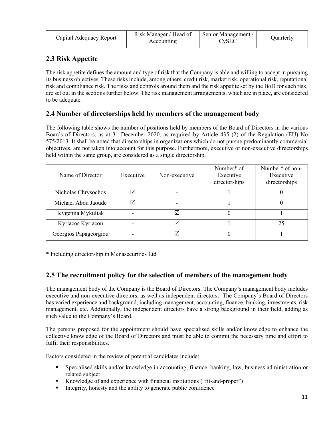| Capital Adequacy Report | Risk Manager / Head of<br>Accounting | Senior Management /<br>$\mathbb{C}\mathsf{v}\mathsf{SEC}$ | Quarterly |
|-------------------------|--------------------------------------|-----------------------------------------------------------|-----------|
|-------------------------|--------------------------------------|-----------------------------------------------------------|-----------|

# <span id="page-10-0"></span>**2.3 Risk Appetite**

The risk appetite defines the amount and type of risk that the Company is able and willing to accept in pursuing its business objectives. These risks include, among others, credit risk, market risk, operational risk, reputational risk and compliance risk. The risks and controls around them and the risk appetite set by the BoD for each risk, are set out in the sections further below. The risk management arrangements, which are in place, are considered to be adequate.

# <span id="page-10-1"></span>**2.4 Number of directorships held by members of the management body**

The following table shows the number of positions held by members of the Board of Directors in the various Boards of Directors, as at 31 December 2020, as required by Article 435 (2) of the Regulation (EU) No 575/2013. It shall be noted that directorships in organizations which do not pursue predominantly commercial objectives, are not taken into account for this purpose. Furthermore, executive or non-executive directorships held within the same group, are considered as a single directorship.

| Name of Director      | Executive | Non-executive | Number <sup>*</sup> of<br>Executive<br>directorships | Number <sup>*</sup> of non-<br>Executive<br>directorships |
|-----------------------|-----------|---------------|------------------------------------------------------|-----------------------------------------------------------|
| Nicholas Chrysochos   | I√        |               |                                                      |                                                           |
| Michael Abou Jaoude   | Ⅳ         |               |                                                      |                                                           |
| Ievgeniia Mykuliak    |           |               |                                                      |                                                           |
| Kyriacos Kyriacou     |           |               |                                                      | 25                                                        |
| Georgios Papageorgiou |           | ⋉             |                                                      |                                                           |

\* Including directorship in Menasecurities Ltd

# <span id="page-10-2"></span>**2.5 The recruitment policy for the selection of members of the management body**

The management body of the Company is the Board of Directors. The Company's management body includes executive and non-executive directors, as well as independent directors. The Company's Board of Directors has varied experience and background, including management, accounting, finance, banking, investments, risk management, etc. Additionally, the independent directors have a strong background in their field, adding as such value to the Company's Board.

The persons proposed for the appointment should have specialised skills and/or knowledge to enhance the collective knowledge of the Board of Directors and must be able to commit the necessary time and effort to fulfil their responsibilities.

Factors considered in the review of potential candidates include:

- Specialised skills and/or knowledge in accounting, finance, banking, law, business administration or related subject
- Knowledge of and experience with financial institutions ("fit-and-proper")
- Integrity, honesty and the ability to generate public confidence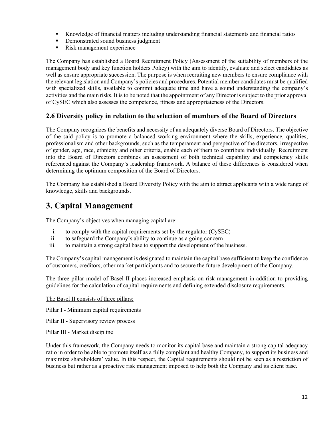- Knowledge of financial matters including understanding financial statements and financial ratios
- Demonstrated sound business judgment
- Risk management experience

The Company has established a Board Recruitment Policy (Assessment of the suitability of members of the management body and key function holders Policy) with the aim to identify, evaluate and select candidates as well as ensure appropriate succession. The purpose is when recruiting new members to ensure compliance with the relevant legislation and Company's policies and procedures. Potential member candidates must be qualified with specialized skills, available to commit adequate time and have a sound understanding the company's activities and the main risks. It is to be noted that the appointment of any Director is subject to the prior approval of CySEC which also assesses the competence, fitness and appropriateness of the Directors.

# <span id="page-11-0"></span>**2.6 Diversity policy in relation to the selection of members of the Board of Directors**

The Company recognizes the benefits and necessity of an adequately diverse Board of Directors. The objective of the said policy is to promote a balanced working environment where the skills, experience, qualities, professionalism and other backgrounds, such as the temperament and perspective of the directors, irrespective of gender, age, race, ethnicity and other criteria, enable each of them to contribute individually. Recruitment into the Board of Directors combines an assessment of both technical capability and competency skills referenced against the Company's leadership framework. A balance of these differences is considered when determining the optimum composition of the Board of Directors.

The Company has established a Board Diversity Policy with the aim to attract applicants with a wide range of knowledge, skills and backgrounds.

# <span id="page-11-1"></span>**3. Capital Management**

The Company's objectives when managing capital are:

- i. to comply with the capital requirements set by the regulator (CySEC)
- ii. to safeguard the Company's ability to continue as a going concern
- iii. to maintain a strong capital base to support the development of the business.

The Company's capital management is designated to maintain the capital base sufficient to keep the confidence of customers, creditors, other market participants and to secure the future development of the Company.

The three pillar model of Basel II places increased emphasis on risk management in addition to providing guidelines for the calculation of capital requirements and defining extended disclosure requirements.

The Basel II consists of three pillars:

Pillar I - Minimum capital requirements

- Pillar II Supervisory review process
- Pillar III Market discipline

Under this framework, the Company needs to monitor its capital base and maintain a strong capital adequacy ratio in order to be able to promote itself as a fully compliant and healthy Company, to support its business and maximize shareholders' value. In this respect, the Capital requirements should not be seen as a restriction of business but rather as a proactive risk management imposed to help both the Company and its client base.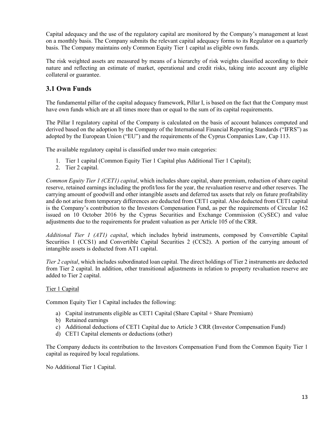Capital adequacy and the use of the regulatory capital are monitored by the Company's management at least on a monthly basis. The Company submits the relevant capital adequacy forms to its Regulator on a quarterly basis. The Company maintains only Common Equity Tier 1 capital as eligible own funds.

The risk weighted assets are measured by means of a hierarchy of risk weights classified according to their nature and reflecting an estimate of market, operational and credit risks, taking into account any eligible collateral or guarantee.

# <span id="page-12-0"></span>**3.1 Own Funds**

The fundamental pillar of the capital adequacy framework, Pillar I, is based on the fact that the Company must have own funds which are at all times more than or equal to the sum of its capital requirements.

The Pillar I regulatory capital of the Company is calculated on the basis of account balances computed and derived based on the adoption by the Company of the International Financial Reporting Standards ("IFRS") as adopted by the European Union ("EU") and the requirements of the Cyprus Companies Law, Cap 113.

The available regulatory capital is classified under two main categories:

- 1. Tier 1 capital (Common Equity Tier 1 Capital plus Additional Tier 1 Capital);
- 2. Tier 2 capital.

*Common Equity Tier 1 (CET1) capital*, which includes share capital, share premium, reduction of share capital reserve, retained earnings including the profit/loss for the year, the revaluation reserve and other reserves. The carrying amount of goodwill and other intangible assets and deferred tax assets that rely on future profitability and do not arise from temporary differences are deducted from CET1 capital. Also deducted from CET1 capital is the Company's contribution to the Investors Compensation Fund, as per the requirements of Circular 162 issued on 10 October 2016 by the Cyprus Securities and Exchange Commission (CySEC) and value adjustments due to the requirements for prudent valuation as per Article 105 of the CRR.

*Additional Tier 1 (AT1) capital*, which includes hybrid instruments, composed by Convertible Capital Securities 1 (CCS1) and Convertible Capital Securities 2 (CCS2). A portion of the carrying amount of intangible assets is deducted from AT1 capital.

*Tier 2 capital*, which includes subordinated loan capital. The direct holdings of Tier 2 instruments are deducted from Tier 2 capital. In addition, other transitional adjustments in relation to property revaluation reserve are added to Tier 2 capital.

### Tier 1 Capital

Common Equity Tier 1 Capital includes the following:

- a) Capital instruments eligible as CET1 Capital (Share Capital + Share Premium)
- b) Retained earnings
- c) Additional deductions of CET1 Capital due to Article 3 CRR (Investor Compensation Fund)
- d) CET1 Capital elements or deductions (other)

The Company deducts its contribution to the Investors Compensation Fund from the Common Equity Tier 1 capital as required by local regulations.

No Additional Tier 1 Capital.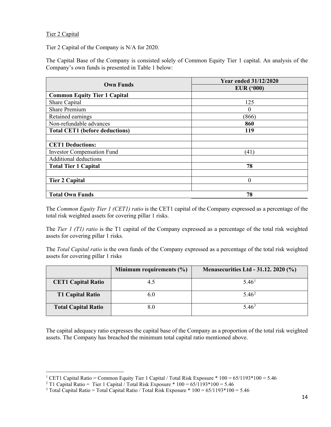### Tier 2 Capital

Tier 2 Capital of the Company is N/A for 2020.

The Capital Base of the Company is consisted solely of Common Equity Tier 1 capital. An analysis of the Company's own funds is presented in Table 1 below:

| <b>Own Funds</b>                      | <b>Year ended 31/12/2020</b> |
|---------------------------------------|------------------------------|
|                                       | EUR $(900)$                  |
| <b>Common Equity Tier 1 Capital</b>   |                              |
| Share Capital                         | 125                          |
| <b>Share Premium</b>                  | $\theta$                     |
| Retained earnings                     | (866)                        |
| Non-refundable advances               | 860                          |
| <b>Total CET1</b> (before deductions) | 119                          |
|                                       |                              |
| <b>CET1 Deductions:</b>               |                              |
| <b>Investor Compensation Fund</b>     | (41)                         |
| Additional deductions                 |                              |
| <b>Total Tier 1 Capital</b>           | 78                           |
|                                       |                              |
| <b>Tier 2 Capital</b>                 | $\theta$                     |
|                                       |                              |
| <b>Total Own Funds</b>                | 78                           |

The *Common Equity Tier 1 (CET1) ratio* is the CET1 capital of the Company expressed as a percentage of the total risk weighted assets for covering pillar 1 risks.

The *Tier 1 (T1) ratio* is the T1 capital of the Company expressed as a percentage of the total risk weighted assets for covering pillar 1 risks.

The *Total Capital ratio* is the own funds of the Company expressed as a percentage of the total risk weighted assets for covering pillar 1 risks

|                            | Minimum requirements $(\% )$ | <b>Menasecurities Ltd - 31.12. 2020 (%)</b> |
|----------------------------|------------------------------|---------------------------------------------|
| <b>CET1 Capital Ratio</b>  | 4.5                          | 5.46 <sup>1</sup>                           |
| <b>T1 Capital Ratio</b>    | 6.0                          | $5.46^2$                                    |
| <b>Total Capital Ratio</b> | 8.0                          | 5.46 <sup>3</sup>                           |

The capital adequacy ratio expresses the capital base of the Company as a proportion of the total risk weighted assets. The Company has breached the minimum total capital ratio mentioned above.

<sup>&</sup>lt;sup>1</sup> CET1 Capital Ratio = Common Equity Tier 1 Capital / Total Risk Exposure  $*$  100 = 65/1193 $*$ 100 = 5.46

<span id="page-13-1"></span><span id="page-13-0"></span><sup>&</sup>lt;sup>2</sup> T1 Capital Ratio = Tier 1 Capital  $\hat{i}$  Total Risk Exposure \* 100 = 65/1193 \* 100 = 5.46

<span id="page-13-2"></span><sup>&</sup>lt;sup>3</sup> Total Capital Ratio = Total Capital Ratio / Total Risk Exposure  $*$  100 = 65/1193 $*$ 100 = 5.46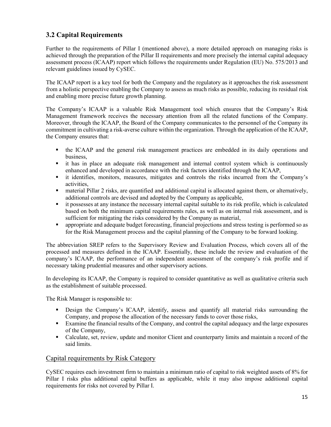# <span id="page-14-0"></span>**3.2 Capital Requirements**

Further to the requirements of Pillar I (mentioned above), a more detailed approach on managing risks is achieved through the preparation of the Pillar II requirements and more precisely the internal capital adequacy assessment process (ICAAP) report which follows the requirements under Regulation (EU) No. 575/2013 and relevant guidelines issued by CySEC.

The ICAAP report is a key tool for both the Company and the regulatory as it approaches the risk assessment from a holistic perspective enabling the Company to assess as much risks as possible, reducing its residual risk and enabling more precise future growth planning.

The Company's ICAAP is a valuable Risk Management tool which ensures that the Company's Risk Management framework receives the necessary attention from all the related functions of the Company. Moreover, through the ICAAP, the Board of the Company communicates to the personnel of the Company its commitment in cultivating a risk-averse culture within the organization. Through the application of the ICAAP, the Company ensures that:

- the ICAAP and the general risk management practices are embedded in its daily operations and business,
- it has in place an adequate risk management and internal control system which is continuously enhanced and developed in accordance with the risk factors identified through the ICAAP,
- it identifies, monitors, measures, mitigates and controls the risks incurred from the Company's activities,
- material Pillar 2 risks, are quantified and additional capital is allocated against them, or alternatively, additional controls are devised and adopted by the Company as applicable,
- it possesses at any instance the necessary internal capital suitable to its risk profile, which is calculated based on both the minimum capital requirements rules, as well as on internal risk assessment, and is sufficient for mitigating the risks considered by the Company as material,
- appropriate and adequate budget forecasting, financial projections and stress testing is performed so as for the Risk Management process and the capital planning of the Company to be forward looking.

The abbreviation SREP refers to the Supervisory Review and Evaluation Process, which covers all of the processed and measures defined in the ICAAP. Essentially, these include the review and evaluation of the company's ICAAP, the performance of an independent assessment of the company's risk profile and if necessary taking prudential measures and other supervisory actions.

In developing its ICAAP, the Company is required to consider quantitative as well as qualitative criteria such as the establishment of suitable processed.

The Risk Manager is responsible to:

- Design the Company's ICAAP, identify, assess and quantify all material risks surrounding the Company, and propose the allocation of the necessary funds to cover those risks,
- Examine the financial results of the Company, and control the capital adequacy and the large exposures of the Company,
- Calculate, set, review, update and monitor Client and counterparty limits and maintain a record of the said limits.

### Capital requirements by Risk Category

CySEC requires each investment firm to maintain a minimum ratio of capital to risk weighted assets of 8% for Pillar I risks plus additional capital buffers as applicable, while it may also impose additional capital requirements for risks not covered by Pillar I.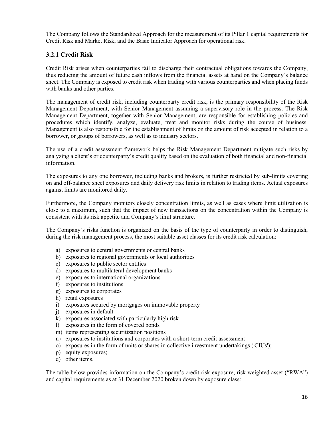The Company follows the Standardized Approach for the measurement of its Pillar 1 capital requirements for Credit Risk and Market Risk, and the Basic Indicator Approach for operational risk.

### <span id="page-15-0"></span>**3.2.1 Credit Risk**

Credit Risk arises when counterparties fail to discharge their contractual obligations towards the Company, thus reducing the amount of future cash inflows from the financial assets at hand on the Company's balance sheet. The Company is exposed to credit risk when trading with various counterparties and when placing funds with banks and other parties.

The management of credit risk, including counterparty credit risk, is the primary responsibility of the Risk Management Department, with Senior Management assuming a supervisory role in the process. The Risk Management Department, together with Senior Management, are responsible for establishing policies and procedures which identify, analyze, evaluate, treat and monitor risks during the course of business. Management is also responsible for the establishment of limits on the amount of risk accepted in relation to a borrower, or groups of borrowers, as well as to industry sectors.

The use of a credit assessment framework helps the Risk Management Department mitigate such risks by analyzing a client's or counterparty's credit quality based on the evaluation of both financial and non-financial information.

The exposures to any one borrower, including banks and brokers, is further restricted by sub-limits covering on and off-balance sheet exposures and daily delivery risk limits in relation to trading items. Actual exposures against limits are monitored daily.

Furthermore, the Company monitors closely concentration limits, as well as cases where limit utilization is close to a maximum, such that the impact of new transactions on the concentration within the Company is consistent with its risk appetite and Company's limit structure.

The Company's risks function is organized on the basis of the type of counterparty in order to distinguish, during the risk management process, the most suitable asset classes for its credit risk calculation:

- a) exposures to central governments or central banks
- b) exposures to regional governments or local authorities
- c) exposures to public sector entities
- d) exposures to multilateral development banks
- e) exposures to international organizations
- f) exposures to institutions
- g) exposures to corporates
- h) retail exposures
- i) exposures secured by mortgages on immovable property
- j) exposures in default
- k) exposures associated with particularly high risk
- l) exposures in the form of covered bonds
- m) items representing securitization positions
- n) exposures to institutions and corporates with a short-term credit assessment
- o) exposures in the form of units or shares in collective investment undertakings ('CIUs');
- p) equity exposures;
- q) other items.

The table below provides information on the Company's credit risk exposure, risk weighted asset ("RWA") and capital requirements as at 31 December 2020 broken down by exposure class: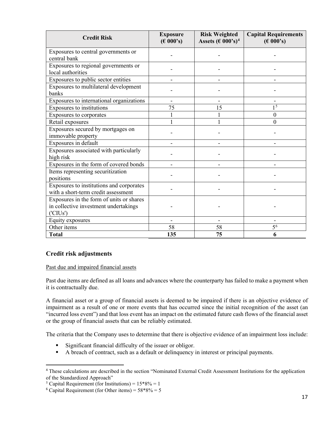| <b>Credit Risk</b>                                                                           | <b>Exposure</b><br>$(\text{\large\ensuremath{\in}} 000\text{\large\ensuremath{\in}} s)$ | <b>Risk Weighted</b><br>Assets $(\text{\textsterling} 000\text{\textdegree}^3)^4$ | <b>Capital Requirements</b><br>$(\text{\large\ensuremath{\in}} 000\text{\large\ensuremath{\in}} s)$ |
|----------------------------------------------------------------------------------------------|-----------------------------------------------------------------------------------------|-----------------------------------------------------------------------------------|-----------------------------------------------------------------------------------------------------|
| Exposures to central governments or<br>central bank                                          |                                                                                         |                                                                                   |                                                                                                     |
| Exposures to regional governments or<br>local authorities                                    |                                                                                         |                                                                                   |                                                                                                     |
| Exposures to public sector entities                                                          |                                                                                         |                                                                                   |                                                                                                     |
| Exposures to multilateral development<br>banks                                               |                                                                                         |                                                                                   |                                                                                                     |
| Exposures to international organizations                                                     |                                                                                         |                                                                                   |                                                                                                     |
| Exposures to institutions                                                                    | 75                                                                                      | 15                                                                                | 1 <sup>5</sup>                                                                                      |
| Exposures to corporates                                                                      |                                                                                         |                                                                                   | $\theta$                                                                                            |
| Retail exposures                                                                             |                                                                                         |                                                                                   | $\Omega$                                                                                            |
| Exposures secured by mortgages on<br>immovable property                                      |                                                                                         |                                                                                   |                                                                                                     |
| Exposures in default                                                                         |                                                                                         |                                                                                   |                                                                                                     |
| Exposures associated with particularly<br>high risk                                          |                                                                                         |                                                                                   |                                                                                                     |
| Exposures in the form of covered bonds                                                       |                                                                                         |                                                                                   |                                                                                                     |
| Items representing securitization<br>positions                                               |                                                                                         |                                                                                   |                                                                                                     |
| Exposures to institutions and corporates<br>with a short-term credit assessment              |                                                                                         |                                                                                   |                                                                                                     |
| Exposures in the form of units or shares<br>in collective investment undertakings<br>(CIUs') |                                                                                         |                                                                                   |                                                                                                     |
| Equity exposures                                                                             |                                                                                         |                                                                                   |                                                                                                     |
| Other items                                                                                  | 58                                                                                      | 58                                                                                | $\overline{5^6}$                                                                                    |
| <b>Total</b>                                                                                 | 135                                                                                     | 75                                                                                | 6                                                                                                   |

### **Credit risk adjustments**

### Past due and impaired financial assets

Past due items are defined as all loans and advances where the counterparty has failed to make a payment when it is contractually due.

A financial asset or a group of financial assets is deemed to be impaired if there is an objective evidence of impairment as a result of one or more events that has occurred since the initial recognition of the asset (an "incurred loss event") and that loss event has an impact on the estimated future cash flows of the financial asset or the group of financial assets that can be reliably estimated.

The criteria that the Company uses to determine that there is objective evidence of an impairment loss include:

- Significant financial difficulty of the issuer or obligor.
- A breach of contract, such as a default or delinquency in interest or principal payments.

<span id="page-16-0"></span><sup>4</sup> These calculations are described in the section "Nominated External Credit Assessment Institutions for the application of the Standardized Approach"

<span id="page-16-1"></span><sup>&</sup>lt;sup>5</sup> Capital Requirement (for Institutions) =  $15*8\% = 1$ 

<span id="page-16-2"></span><sup>&</sup>lt;sup>6</sup> Capital Requirement (for Other items) =  $58*8% = 5$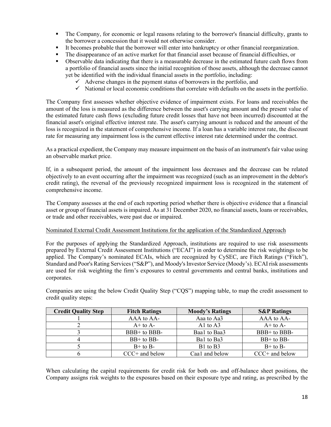- The Company, for economic or legal reasons relating to the borrower's financial difficulty, grants to the borrower a concession that it would not otherwise consider.
- It becomes probable that the borrower will enter into bankruptcy or other financial reorganization.
- The disappearance of an active market for that financial asset because of financial difficulties, or
- Observable data indicating that there is a measurable decrease in the estimated future cash flows from a portfolio of financial assets since the initial recognition of those assets, although the decrease cannot yet be identified with the individual financial assets in the portfolio, including:
	- $\checkmark$  Adverse changes in the payment status of borrowers in the portfolio, and
	- $\checkmark$  National or local economic conditions that correlate with defaults on the assets in the portfolio.

The Company first assesses whether objective evidence of impairment exists. For loans and receivables the amount of the loss is measured as the difference between the asset's carrying amount and the present value of the estimated future cash flows (excluding future credit losses that have not been incurred) discounted at the financial asset's original effective interest rate. The asset's carrying amount is reduced and the amount of the loss is recognized in the statement of comprehensive income. If a loan has a variable interest rate, the discount rate for measuring any impairment loss is the current effective interest rate determined under the contract.

As a practical expedient, the Company may measure impairment on the basis of an instrument's fair value using an observable market price.

If, in a subsequent period, the amount of the impairment loss decreases and the decrease can be related objectively to an event occurring after the impairment was recognized (such as an improvement in the debtor's credit rating), the reversal of the previously recognized impairment loss is recognized in the statement of comprehensive income.

The Company assesses at the end of each reporting period whether there is objective evidence that a financial asset or group of financial assets is impaired. As at 31 December 2020, no financial assets, loans or receivables, or trade and other receivables, were past due or impaired.

### Nominated External Credit Assessment Institutions for the application of the Standardized Approach

For the purposes of applying the Standardized Approach, institutions are required to use risk assessments prepared by External Credit Assessment Institutions ("ECAI") in order to determine the risk weightings to be applied. The Company's nominated ECAIs, which are recognized by CySEC, are Fitch Ratings ("Fitch"), Standard and Poor's Rating Services ("S&P"), and Moody's Investor Service (Moody's). ECAI risk assessments are used for risk weighting the firm's exposures to central governments and central banks, institutions and corporates.

Companies are using the below Credit Quality Step ("CQS") mapping table, to map the credit assessment to credit quality steps:

| <b>Credit Quality Step</b> | <b>Fitch Ratings</b> | <b>Moody's Ratings</b> | <b>S&amp;P Ratings</b> |
|----------------------------|----------------------|------------------------|------------------------|
|                            | AAA to AA-           | Aaa to Aa3             | AAA to AA-             |
|                            | $A+$ to $A-$         | Al to $A3$             | $A+$ to $A-$           |
|                            | $BBB+$ to BBB-       | Baal to Baa3           | $BBB+$ to BBB-         |
|                            | $BB+$ to $BB-$       | Bal to Ba3             | $BB+$ to $BB-$         |
|                            | $B+$ to $B-$         | B1 to B3               | $B+$ to $B-$           |
|                            | $CCC+$ and below     | Caa1 and below         | $CCC+$ and below       |

When calculating the capital requirements for credit risk for both on- and off-balance sheet positions, the Company assigns risk weights to the exposures based on their exposure type and rating, as prescribed by the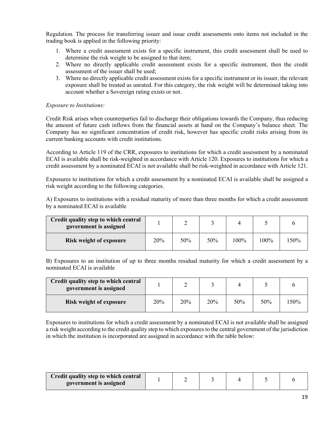Regulation. The process for transferring issuer and issue credit assessments onto items not included in the trading book is applied in the following priority:

- 1. Where a credit assessment exists for a specific instrument, this credit assessment shall be used to determine the risk weight to be assigned to that item;
- 2. Where no directly applicable credit assessment exists for a specific instrument, then the credit assessment of the issuer shall be used;
- 3. Where no directly applicable credit assessment exists for a specific instrument or its issuer, the relevant exposure shall be treated as unrated. For this category, the risk weight will be determined taking into account whether a Sovereign rating exists or not.

### *Exposure to Institutions:*

Credit Risk arises when counterparties fail to discharge their obligations towards the Company, thus reducing the amount of future cash inflows from the financial assets at hand on the Company's balance sheet. The Company has no significant concentration of credit risk, however has specific credit risks arising from its current banking accounts with credit institutions.

According to Article 119 of the CRR, exposures to institutions for which a credit assessment by a nominated ECAI is available shall be risk-weighted in accordance with Article 120. Exposures to institutions for which a credit assessment by a nominated ECAI is not available shall be risk-weighted in accordance with Article 121.

Exposures to institutions for which a credit assessment by a nominated ECAI is available shall be assigned a risk weight according to the following categories.

A) Exposures to institutions with a residual maturity of more than three months for which a credit assessment by a nominated ECAI is available

| Credit quality step to which central<br>government is assigned |     |     |     |      |      |      |
|----------------------------------------------------------------|-----|-----|-----|------|------|------|
| <b>Risk weight of exposure</b>                                 | 20% | 50% | 50% | 100% | 100% | 150% |

B) Exposures to an institution of up to three months residual maturity for which a credit assessment by a nominated ECAI is available

| Credit quality step to which central<br>government is assigned |     |     |     |     |     |      |
|----------------------------------------------------------------|-----|-----|-----|-----|-----|------|
| <b>Risk weight of exposure</b>                                 | 20% | 20% | 20% | 50% | 50% | 150% |

Exposures to institutions for which a credit assessment by a nominated ECAI is not available shall be assigned a risk weight according to the credit quality step to which exposures to the central government of the jurisdiction in which the institution is incorporated are assigned in accordance with the table below:

| Credit quality step to which central |  |  |  |
|--------------------------------------|--|--|--|
| government is assigned               |  |  |  |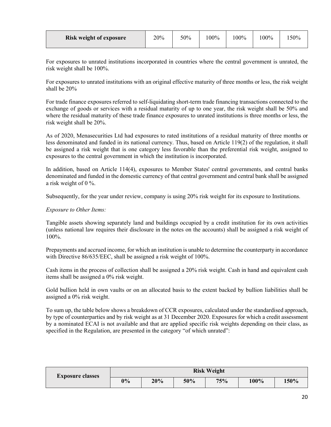| Risk weight of exposure | 20% | 50% | 100% | $00\%$ | 100% | 50% |
|-------------------------|-----|-----|------|--------|------|-----|
|-------------------------|-----|-----|------|--------|------|-----|

For exposures to unrated institutions incorporated in countries where the central government is unrated, the risk weight shall be 100%.

For exposures to unrated institutions with an original effective maturity of three months or less, the risk weight shall be 20%

For trade finance exposures referred to self-liquidating short-term trade financing transactions connected to the exchange of goods or services with a residual maturity of up to one year, the risk weight shall be 50% and where the residual maturity of these trade finance exposures to unrated institutions is three months or less, the risk weight shall be 20%.

As of 2020, Menasecurities Ltd had exposures to rated institutions of a residual maturity of three months or less denominated and funded in its national currency. Thus, based on Article 119(2) of the regulation, it shall be assigned a risk weight that is one category less favorable than the preferential risk weight, assigned to exposures to the central government in which the institution is incorporated.

In addition, based on Article 114(4), exposures to Member States' central governments, and central banks denominated and funded in the domestic currency of that central government and central bank shall be assigned a risk weight of 0 %.

Subsequently, for the year under review, company is using 20% risk weight for its exposure to Institutions.

### *Exposure to Other Items:*

Tangible assets showing separately land and buildings occupied by a credit institution for its own activities (unless national law requires their disclosure in the notes on the accounts) shall be assigned a risk weight of 100%.

Prepayments and accrued income, for which an institution is unable to determine the counterparty in accordance with Directive 86/635/EEC, shall be assigned a risk weight of 100%.

Cash items in the process of collection shall be assigned a 20% risk weight. Cash in hand and equivalent cash items shall be assigned a 0% risk weight.

Gold bullion held in own vaults or on an allocated basis to the extent backed by bullion liabilities shall be assigned a 0% risk weight.

To sum up, the table below shows a breakdown of CCR exposures, calculated under the standardised approach, by type of counterparties and by risk weight as at 31 December 2020. Exposures for which a credit assessment by a nominated ECAI is not available and that are applied specific risk weights depending on their class, as specified in the Regulation, are presented in the category "of which unrated":

| <b>Exposure classes</b> | <b>Risk Weight</b> |     |     |     |      |      |
|-------------------------|--------------------|-----|-----|-----|------|------|
|                         | 0%                 | 20% | 50% | 75% | 100% | 150% |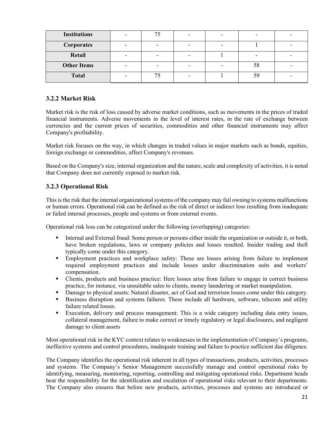| <b>Institutions</b> |  |  |  |
|---------------------|--|--|--|
| <b>Corporates</b>   |  |  |  |
| Retail              |  |  |  |
| <b>Other Items</b>  |  |  |  |
| <b>Total</b>        |  |  |  |

### <span id="page-20-0"></span>**3.2.2 Market Risk**

Market risk is the risk of loss caused by adverse market conditions, such as movements in the prices of traded financial instruments. Adverse movements in the level of interest rates, in the rate of exchange between currencies and the current prices of securities, commodities and other financial instruments may affect Company's profitability.

Market risk focuses on the way, in which changes in traded values in major markets such as bonds, equities, foreign exchange or commodities, affect Company's revenues.

Based on the Company's size, internal organization and the nature, scale and complexity of activities, it is noted that Company does not currently exposed to market risk.

### <span id="page-20-1"></span>**3.2.3 Operational Risk**

This is the risk that the internal organizational systems of the company may fail owning to systems malfunctions or human errors. Operational risk can be defined as the risk of direct or indirect loss resulting from inadequate or failed internal processes, people and systems or from external events.

Operational risk loss can be categorized under the following (overlapping) categories:

- Internal and External fraud: Some person or persons either inside the organization or outside it, or both, have broken regulations, laws or company policies and losses resulted. Insider trading and theft typically come under this category.
- **Employment practices and workplace safety:** These are losses arising from failure to implement required employment practices and include losses under discrimination suits and workers' compensation.
- Clients, products and business practice: Here losses arise from failure to engage in correct business practice, for instance, via unsuitable sales to clients, money laundering or market manipulation.
- Damage to physical assets: Natural disaster, act of God and terrorism losses come under this category.
- Business disruption and systems failures: These include all hardware, software, telecom and utility failure related losses.
- Execution, delivery and process management: This is a wide category including data entry issues, collateral management, failure to make correct or timely regulatory or legal disclosures, and negligent damage to client assets

Most operational risk in the KYC context relates to weaknesses in the implementation of Company's programs, ineffective systems and control procedures, inadequate training and failure to practice sufficient due diligence.

The Company identifies the operational risk inherent in all types of transactions, products, activities, processes and systems. The Company's Senior Management successfully manage and control operational risks by identifying, measuring, monitoring, reporting, controlling and mitigating operational risks. Department heads bear the responsibility for the identification and escalation of operational risks relevant to their departments. The Company also ensures that before new products, activities, processes and systems are introduced or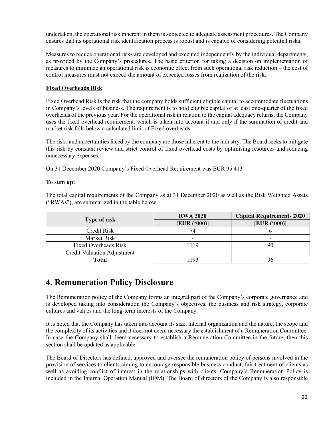undertaken, the operational risk inherent in them is subjected to adequate assessment procedures. The Company ensures that its operational risk identification process is robust and is capable of considering potential risks.

Measures to reduce operational risks are developed and executed independently by the individual departments, as provided by the Company's procedures. The basic criterion for taking a decision on implementation of measures to minimize an operational risk is economic effect from such operational risk reduction – the cost of control measures must not exceed the amount of expected losses from realization of the risk.

### **Fixed Overheads Risk**

Fixed Overhead Risk is the risk that the company holds sufficient eligible capital to accommodate fluctuations in Company's levels of business. The requirement is to hold eligible capital of at least one-quarter of the fixed overheads of the previous year. For the operational risk in relation to the capital adequacy returns, the Company uses the fixed overhead requirement, which is taken into account if and only if the summation of credit and market risk falls below a calculated limit of Fixed overheads.

The risks and uncertainties faced by the company are those inherent to the industry. The Board seeks to mitigate this risk by constant review and strict control of fixed overhead costs by optimising resources and reducing unnecessary expenses.

On 31 December 2020 Company's Fixed Overhead Requirement was EUR 95.413

### **To sum up:**

The total capital requirements of the Company as at 31 December 2020 as well as the Risk Weighted Assets ("RWAs"), are summarized in the table below:

|                             | <b>RWA 2020</b>          | <b>Capital Requirements 2020</b> |
|-----------------------------|--------------------------|----------------------------------|
| <b>Type of risk</b>         | [EUR ( '000)]            | [EUR (*000)]                     |
| Credit Risk                 |                          |                                  |
| Market Risk                 | -                        | -                                |
| Fixed Overheads Risk        | 1119                     | 90                               |
| Credit Valuation Adjustment | $\overline{\phantom{0}}$ | -                                |
| Total                       | 193                      | 96                               |

# <span id="page-21-0"></span>**4. Remuneration Policy Disclosure**

The Remuneration policy of the Company forms an integral part of the Company's corporate governance and is developed taking into consideration the Company's objectives, the business and risk strategy, corporate cultures and values and the long-term interests of the Company.

It is noted that the Company has taken into account its size, internal organization and the nature, the scope and the complexity of its activities and it does not deem necessary the establishment of a Remuneration Committee. In case the Company shall deem necessary to establish a Remuneration Committee in the future, then this section shall be updated as applicable.

The Board of Directors has defined, approved and oversee the remuneration policy of persons involved in the provision of services to clients aiming to encourage responsible business conduct, fair treatment of clients as well as avoiding conflict of interest in the relationships with clients. Company's Remuneration Policy is included in the Internal Operation Manual (IOM). The Board of directors of the Company is also responsible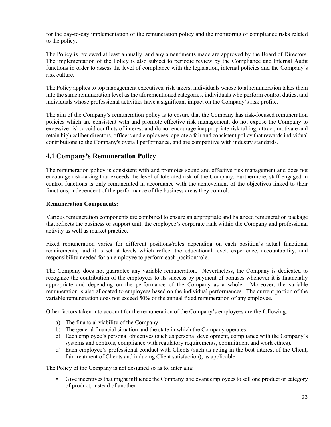for the day-to-day implementation of the remuneration policy and the monitoring of compliance risks related to the policy.

The Policy is reviewed at least annually, and any amendments made are approved by the Board of Directors. The implementation of the Policy is also subject to periodic review by the Compliance and Internal Audit functions in order to assess the level of compliance with the legislation, internal policies and the Company's risk culture.

The Policy applies to top management executives, risk takers, individuals whose total remuneration takes them into the same remuneration level as the aforementioned categories, individuals who perform control duties, and individuals whose professional activities have a significant impact on the Company's risk profile.

The aim of the Company's remuneration policy is to ensure that the Company has risk-focused remuneration policies which are consistent with and promote effective risk management, do not expose the Company to excessive risk, avoid conflicts of interest and do not encourage inappropriate risk taking, attract, motivate and retain high caliber directors, officers and employees, operate a fair and consistent policy that rewards individual contributions to the Company's overall performance, and are competitive with industry standards.

### <span id="page-22-0"></span>**4.1 Company's Remuneration Policy**

The remuneration policy is consistent with and promotes sound and effective risk management and does not encourage risk-taking that exceeds the level of tolerated risk of the Company. Furthermore, staff engaged in control functions is only remunerated in accordance with the achievement of the objectives linked to their functions, independent of the performance of the business areas they control.

### **Remuneration Components:**

Various remuneration components are combined to ensure an appropriate and balanced remuneration package that reflects the business or support unit, the employee's corporate rank within the Company and professional activity as well as market practice.

Fixed remuneration varies for different positions/roles depending on each position's actual functional requirements, and it is set at levels which reflect the educational level, experience, accountability, and responsibility needed for an employee to perform each position/role.

The Company does not guarantee any variable remuneration. Nevertheless, the Company is dedicated to recognize the contribution of the employees to its success by payment of bonuses whenever it is financially appropriate and depending on the performance of the Company as a whole. Moreover, the variable remuneration is also allocated to employees based on the individual performances. The current portion of the variable remuneration does not exceed 50% of the annual fixed remuneration of any employee.

Other factors taken into account for the remuneration of the Company's employees are the following:

- a) The financial viability of the Company
- b) The general financial situation and the state in which the Company operates
- c) Each employee's personal objectives (such as personal development, compliance with the Company's systems and controls, compliance with regulatory requirements, commitment and work ethics).
- d) Each employee's professional conduct with Clients (such as acting in the best interest of the Client, fair treatment of Clients and inducing Client satisfaction), as applicable.

The Policy of the Company is not designed so as to, inter alia:

 Give incentives that might influence the Company's relevant employees to sell one product or category of product, instead of another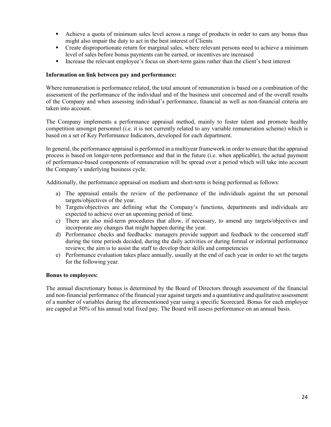- Achieve a quota of minimum sales level across a range of products in order to earn any bonus thus might also impair the duty to act in the best interest of Clients
- Create disproportionate return for marginal sales, where relevant persons need to achieve a minimum level of sales before bonus payments can be earned, or incentives are increased
- Increase the relevant employee's focus on short-term gains rather than the client's best interest

#### **Information on link between pay and performance:**

Where remuneration is performance related, the total amount of remuneration is based on a combination of the assessment of the performance of the individual and of the business unit concerned and of the overall results of the Company and when assessing individual's performance, financial as well as non-financial criteria are taken into account.

The Company implements a performance appraisal method, mainly to foster talent and promote healthy competition amongst personnel (i.e. it is not currently related to any variable remuneration scheme) which is based on a set of Key Performance Indicators, developed for each department.

In general, the performance appraisal is performed in a multiyear framework in order to ensure that the appraisal process is based on longer-term performance and that in the future (i.e. when applicable), the actual payment of performance-based components of remuneration will be spread over a period which will take into account the Company's underlying business cycle.

Additionally, the performance appraisal on medium and short-term is being performed as follows:

- a) The appraisal entails the review of the performance of the individuals against the set personal targets/objectives of the year.
- b) Targets/objectives are defining what the Company's functions, departments and individuals are expected to achieve over an upcoming period of time.
- c) There are also mid-term procedures that allow, if necessary, to amend any targets/objectives and incorporate any changes that might happen during the year.
- d) Performance checks and feedbacks: managers provide support and feedback to the concerned staff during the time periods decided, during the daily activities or during formal or informal performance reviews; the aim is to assist the staff to develop their skills and competencies
- e) Performance evaluation takes place annually, usually at the end of each year in order to set the targets for the following year.

#### **Bonus to employees:**

The annual discretionary bonus is determined by the Board of Directors through assessment of the financial and non-financial performance of the financial year against targets and a quantitative and qualitative assessment of a number of variables during the aforementioned year using a specific Scorecard. Bonus for each employee are capped at 50% of his annual total fixed pay. The Board will assess performance on an annual basis.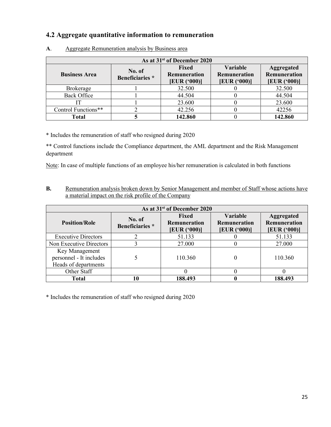# <span id="page-24-0"></span>**4.2 Aggregate quantitative information to remuneration**

| As at 31 <sup>st</sup> of December 2020 |                                  |                                              |                                                 |                                                    |  |  |
|-----------------------------------------|----------------------------------|----------------------------------------------|-------------------------------------------------|----------------------------------------------------|--|--|
| <b>Business Area</b>                    | No. of<br><b>Beneficiaries</b> * | <b>Fixed</b><br>Remuneration<br>[EUR (°000)] | <b>Variable</b><br>Remuneration<br>[EUR ('000)] | Aggregated<br><b>Remuneration</b><br>[EUR ( '000)] |  |  |
| <b>Brokerage</b>                        |                                  | 32.500                                       |                                                 | 32.500                                             |  |  |
| <b>Back Office</b>                      |                                  | 44.504                                       |                                                 | 44.504                                             |  |  |
|                                         |                                  | 23.600                                       |                                                 | 23.600                                             |  |  |
| Control Functions**                     |                                  | 42.256                                       |                                                 | 42256                                              |  |  |
| <b>Total</b>                            |                                  | 142.860                                      |                                                 | 142.860                                            |  |  |

**A**. Aggregate Remuneration analysis by Business area

\* Includes the remuneration of staff who resigned during 2020

\*\* Control functions include the Compliance department, the AML department and the Risk Management department

Note: In case of multiple functions of an employee his/her remuneration is calculated in both functions

**B.** Remuneration analysis broken down by Senior Management and member of Staff whose actions have a material impact on the risk profile of the Company

| As at 31 <sup>st</sup> of December 2020                           |                           |                                              |                                                        |                                                          |  |  |
|-------------------------------------------------------------------|---------------------------|----------------------------------------------|--------------------------------------------------------|----------------------------------------------------------|--|--|
| <b>Position/Role</b>                                              | No. of<br>Beneficiaries * | <b>Fixed</b><br>Remuneration<br>[EUR ('000)] | <b>Variable</b><br><b>Remuneration</b><br>[EUR ('000)] | <b>Aggregated</b><br><b>Remuneration</b><br>[EUR ('000)] |  |  |
| <b>Executive Directors</b>                                        |                           | 51.133                                       |                                                        | 51.133                                                   |  |  |
| Non Executive Directors                                           |                           | 27.000                                       | U                                                      | 27.000                                                   |  |  |
| Key Management<br>personnel - It includes<br>Heads of departments |                           | 110.360                                      |                                                        | 110.360                                                  |  |  |
| Other Staff                                                       |                           |                                              |                                                        |                                                          |  |  |
| Total                                                             | 10                        | 188.493                                      |                                                        | 188.493                                                  |  |  |

\* Includes the remuneration of staff who resigned during 2020